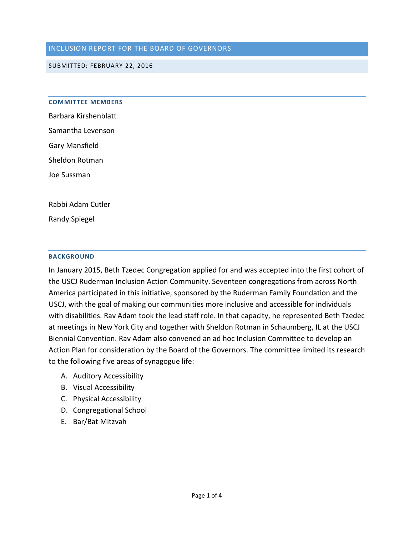### INCLUSION REPORT FOR THE BOARD OF GOVERNORS

#### SUBMITTED: FEBRUARY 22, 2016

#### **COMMITTEE MEMBERS**

Barbara Kirshenblatt Samantha Levenson Gary Mansfield Sheldon Rotman Joe Sussman

Rabbi Adam Cutler

Randy Spiegel

#### **BACKGROUND**

In January 2015, Beth Tzedec Congregation applied for and was accepted into the first cohort of the [USCJ Ruderman Inclusion Action Community.](http://www.rudermanfoundation.org/united-synagogue-conservative-judaism) Seventeen congregations from across North America participated in this initiative, sponsored by the Ruderman Family Foundation and the USCJ, with the goal of making our communities more inclusive and accessible for individuals with disabilities. Rav Adam took the lead staff role. In that capacity, he represented Beth Tzedec at meetings in New York City and together with Sheldon Rotman in Schaumberg, IL at the USCJ Biennial Convention. Rav Adam also convened an ad hoc Inclusion Committee to develop an Action Plan for consideration by the Board of the Governors. The committee limited its research to the following five areas of synagogue life:

- A. Auditory Accessibility
- B. Visual Accessibility
- C. Physical Accessibility
- D. Congregational School
- E. Bar/Bat Mitzvah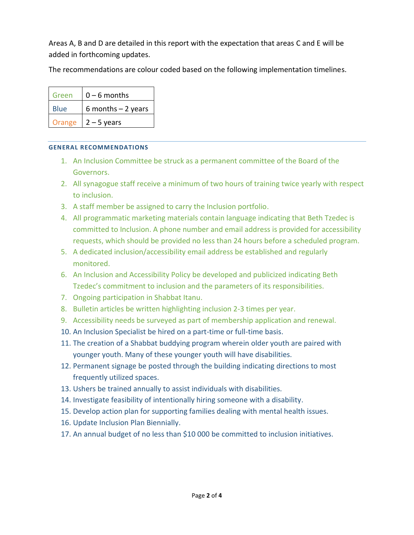Areas A, B and D are detailed in this report with the expectation that areas C and E will be added in forthcoming updates.

The recommendations are colour coded based on the following implementation timelines.

| Green       | $0 - 6$ months      |
|-------------|---------------------|
| <b>Blue</b> | 6 months $-2$ years |
| Orange      | $2 - 5$ years       |

## **GENERAL RECOMMENDATIONS**

- 1. An Inclusion Committee be struck as a permanent committee of the Board of the Governors.
- 2. All synagogue staff receive a minimum of two hours of training twice yearly with respect to inclusion.
- 3. A staff member be assigned to carry the Inclusion portfolio.
- 4. All programmatic marketing materials contain language indicating that Beth Tzedec is committed to Inclusion. A phone number and email address is provided for accessibility requests, which should be provided no less than 24 hours before a scheduled program.
- 5. A dedicated inclusion/accessibility email address be established and regularly monitored.
- 6. An Inclusion and Accessibility Policy be developed and publicized indicating Beth Tzedec's commitment to inclusion and the parameters of its responsibilities.
- 7. Ongoing participation in Shabbat Itanu.
- 8. Bulletin articles be written highlighting inclusion 2-3 times per year.
- 9. Accessibility needs be surveyed as part of membership application and renewal.
- 10. An Inclusion Specialist be hired on a part-time or full-time basis.
- 11. The creation of a Shabbat buddying program wherein older youth are paired with younger youth. Many of these younger youth will have disabilities.
- 12. Permanent signage be posted through the building indicating directions to most frequently utilized spaces.
- 13. Ushers be trained annually to assist individuals with disabilities.
- 14. Investigate feasibility of intentionally hiring someone with a disability.
- 15. Develop action plan for supporting families dealing with mental health issues.
- 16. Update Inclusion Plan Biennially.
- 17. An annual budget of no less than \$10 000 be committed to inclusion initiatives.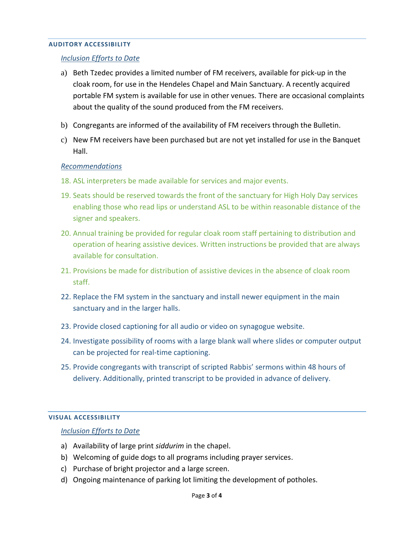#### **AUDITORY ACCESSIBILITY**

### *Inclusion Efforts to Date*

- a) Beth Tzedec provides a limited number of FM receivers, available for pick-up in the cloak room, for use in the Hendeles Chapel and Main Sanctuary. A recently acquired portable FM system is available for use in other venues. There are occasional complaints about the quality of the sound produced from the FM receivers.
- b) Congregants are informed of the availability of FM receivers through the Bulletin.
- c) New FM receivers have been purchased but are not yet installed for use in the Banquet Hall.

### *Recommendations*

- 18. ASL interpreters be made available for services and major events.
- 19. Seats should be reserved towards the front of the sanctuary for High Holy Day services enabling those who read lips or understand ASL to be within reasonable distance of the signer and speakers.
- 20. Annual training be provided for regular cloak room staff pertaining to distribution and operation of hearing assistive devices. Written instructions be provided that are always available for consultation.
- 21. Provisions be made for distribution of assistive devices in the absence of cloak room staff.
- 22. Replace the FM system in the sanctuary and install newer equipment in the main sanctuary and in the larger halls.
- 23. Provide closed captioning for all audio or video on synagogue website.
- 24. Investigate possibility of rooms with a large blank wall where slides or computer output can be projected for real-time captioning.
- 25. Provide congregants with transcript of scripted Rabbis' sermons within 48 hours of delivery. Additionally, printed transcript to be provided in advance of delivery.

### **VISUAL ACCESSIBILITY**

#### *Inclusion Efforts to Date*

- a) Availability of large print *siddurim* in the chapel.
- b) Welcoming of guide dogs to all programs including prayer services.
- c) Purchase of bright projector and a large screen.
- d) Ongoing maintenance of parking lot limiting the development of potholes.